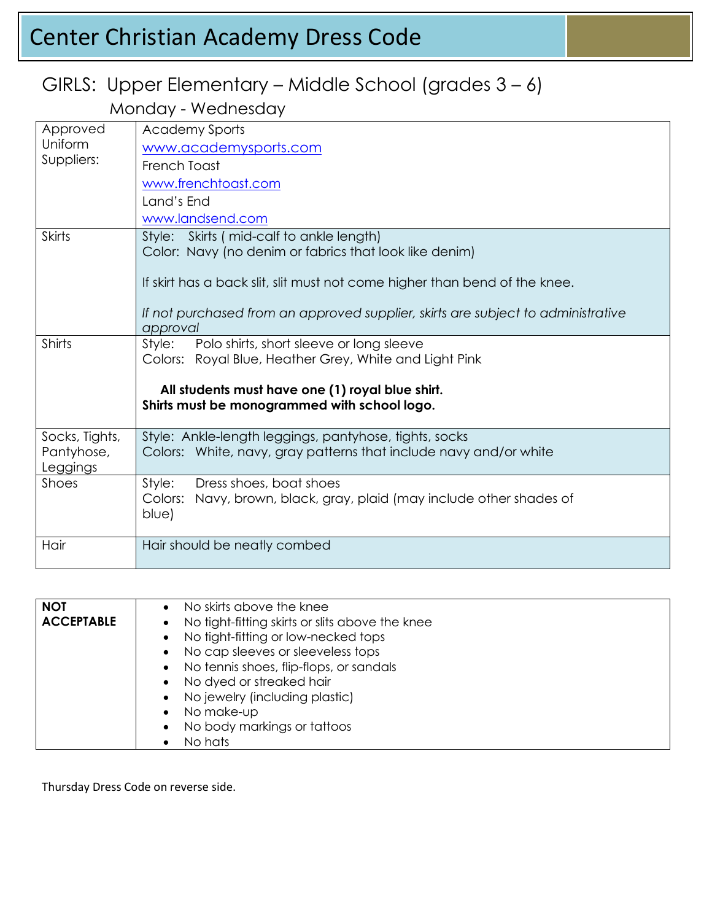# Center Christian Academy Dress Code

#### GIRLS: Upper Elementary – Middle School (grades 3 – 6)

Monday - Wednesday

| Approved<br>Uniform<br>Suppliers: | <b>Academy Sports</b>                                                                            |
|-----------------------------------|--------------------------------------------------------------------------------------------------|
|                                   | www.academysports.com                                                                            |
|                                   | French Toast                                                                                     |
|                                   | www.frenchtoast.com                                                                              |
|                                   | Land's End                                                                                       |
|                                   | www.landsend.com                                                                                 |
| <b>Skirts</b>                     | Style: Skirts (mid-calf to ankle length)                                                         |
|                                   | Color: Navy (no denim or fabrics that look like denim)                                           |
|                                   |                                                                                                  |
|                                   | If skirt has a back slit, slit must not come higher than bend of the knee.                       |
|                                   | If not purchased from an approved supplier, skirts are subject to administrative                 |
|                                   | approval                                                                                         |
| Shirts                            | Style:<br>Polo shirts, short sleeve or long sleeve                                               |
|                                   | Colors: Royal Blue, Heather Grey, White and Light Pink                                           |
|                                   |                                                                                                  |
|                                   | All students must have one (1) royal blue shirt.<br>Shirts must be monogrammed with school logo. |
|                                   |                                                                                                  |
| Socks, Tights,                    | Style: Ankle-length leggings, pantyhose, tights, socks                                           |
| Pantyhose,                        | Colors: White, navy, gray patterns that include navy and/or white                                |
| Leggings                          |                                                                                                  |
| <b>Shoes</b>                      | Style:<br>Dress shoes, boat shoes                                                                |
|                                   | Colors: Navy, brown, black, gray, plaid (may include other shades of<br>blue)                    |
|                                   |                                                                                                  |
| Hair                              | Hair should be neatly combed                                                                     |
|                                   |                                                                                                  |

| No skirts above the knee                                     |
|--------------------------------------------------------------|
| No tight-fitting skirts or slits above the knee<br>$\bullet$ |
| • No tight-fitting or low-necked tops                        |
| • No cap sleeves or sleeveless tops                          |
| • No tennis shoes, flip-flops, or sandals                    |
| • No dyed or streaked hair                                   |
| • No jewelry (including plastic)                             |
| No make-up                                                   |
| • No body markings or tattoos                                |
| No hats                                                      |
|                                                              |

Thursday Dress Code on reverse side.